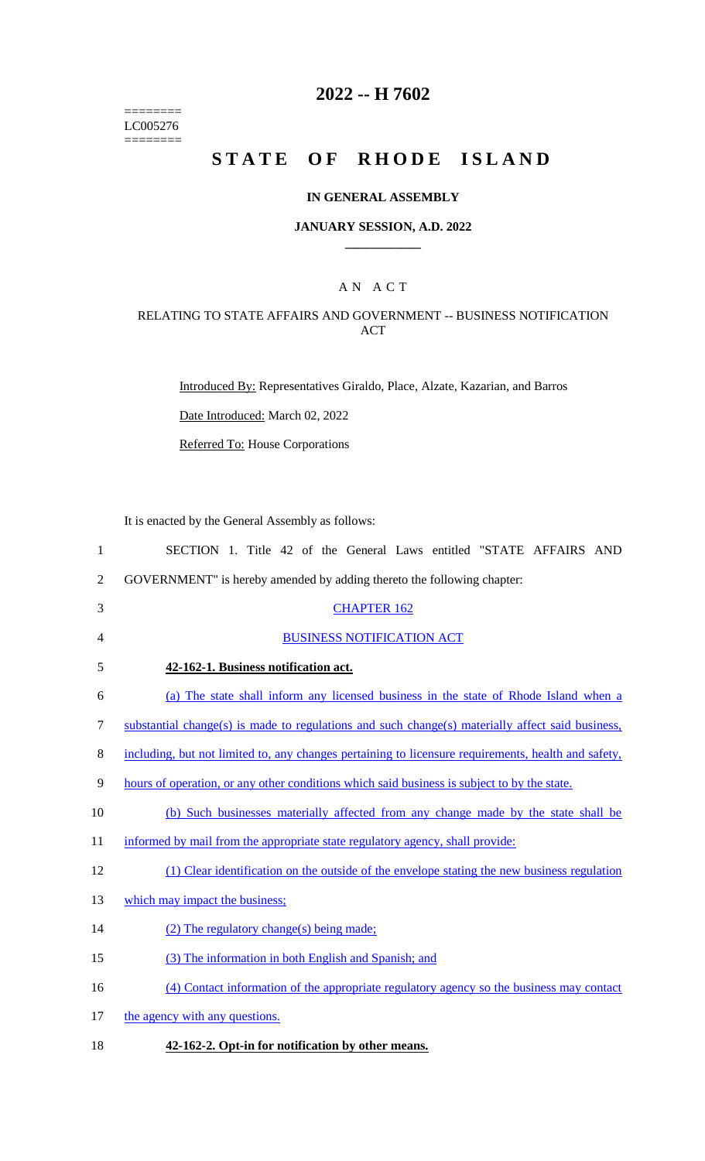======== LC005276  $=$ 

## **2022 -- H 7602**

# **STATE OF RHODE ISLAND**

### **IN GENERAL ASSEMBLY**

#### **JANUARY SESSION, A.D. 2022 \_\_\_\_\_\_\_\_\_\_\_\_**

### A N A C T

### RELATING TO STATE AFFAIRS AND GOVERNMENT -- BUSINESS NOTIFICATION ACT

Introduced By: Representatives Giraldo, Place, Alzate, Kazarian, and Barros

Date Introduced: March 02, 2022

Referred To: House Corporations

It is enacted by the General Assembly as follows:

| $\mathbf{1}$   | SECTION 1. Title 42 of the General Laws entitled "STATE AFFAIRS AND                                 |
|----------------|-----------------------------------------------------------------------------------------------------|
| $\overline{2}$ | GOVERNMENT" is hereby amended by adding thereto the following chapter:                              |
| 3              | <b>CHAPTER 162</b>                                                                                  |
| 4              | <b>BUSINESS NOTIFICATION ACT</b>                                                                    |
| 5              | 42-162-1. Business notification act.                                                                |
| 6              | (a) The state shall inform any licensed business in the state of Rhode Island when a                |
| 7              | substantial change(s) is made to regulations and such change(s) materially affect said business,    |
| 8              | including, but not limited to, any changes pertaining to licensure requirements, health and safety, |
| 9              | hours of operation, or any other conditions which said business is subject to by the state.         |
| 10             | (b) Such businesses materially affected from any change made by the state shall be                  |
| 11             | informed by mail from the appropriate state regulatory agency, shall provide:                       |
| 12             | (1) Clear identification on the outside of the envelope stating the new business regulation         |
| 13             | which may impact the business;                                                                      |
| 14             | $(2)$ The regulatory change(s) being made;                                                          |
| 15             | (3) The information in both English and Spanish; and                                                |
| 16             | (4) Contact information of the appropriate regulatory agency so the business may contact            |
| 17             | the agency with any questions.                                                                      |

18 **42-162-2. Opt-in for notification by other means.**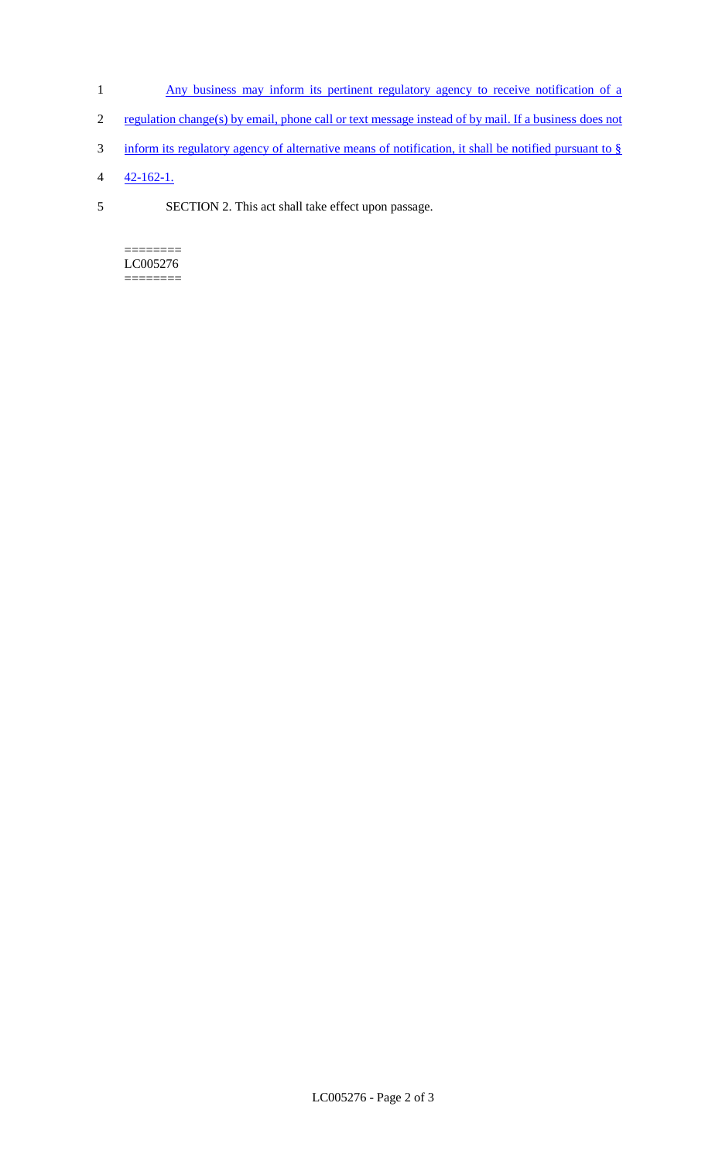- 1 Any business may inform its pertinent regulatory agency to receive notification of a
- 2 regulation change(s) by email, phone call or text message instead of by mail. If a business does not
- 3 inform its regulatory agency of alternative means of notification, it shall be notified pursuant to §
- 4 42-162-1.
- 5 SECTION 2. This act shall take effect upon passage.

======== LC005276 ========